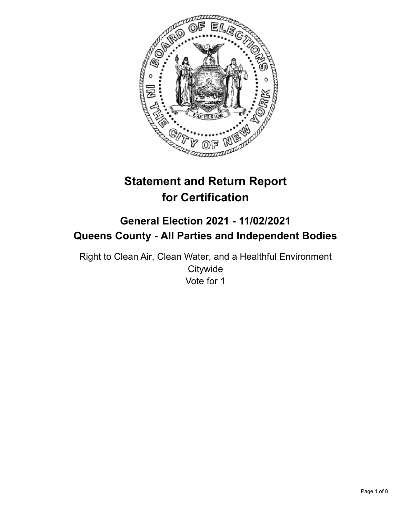

# **Statement and Return Report for Certification**

# **General Election 2021 - 11/02/2021 Queens County - All Parties and Independent Bodies**

Right to Clean Air, Clean Water, and a Healthful Environment **Citywide** Vote for 1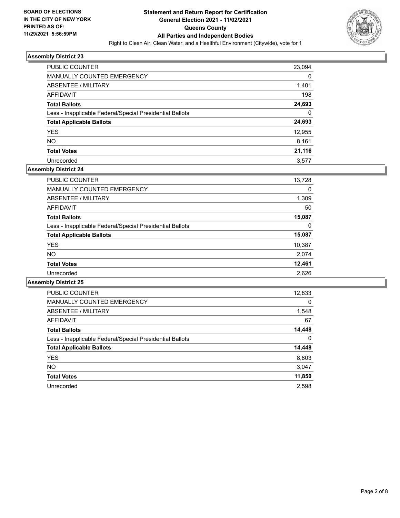

| <b>PUBLIC COUNTER</b>                                    | 23,094 |
|----------------------------------------------------------|--------|
| MANUALLY COUNTED EMERGENCY                               | 0      |
| <b>ABSENTEE / MILITARY</b>                               | 1,401  |
| AFFIDAVIT                                                | 198    |
| <b>Total Ballots</b>                                     | 24,693 |
| Less - Inapplicable Federal/Special Presidential Ballots | 0      |
| <b>Total Applicable Ballots</b>                          | 24,693 |
| <b>YES</b>                                               | 12,955 |
| <b>NO</b>                                                | 8,161  |
| <b>Total Votes</b>                                       | 21,116 |
| Unrecorded                                               | 3.577  |

## **Assembly District 24**

| <b>PUBLIC COUNTER</b>                                    | 13,728 |
|----------------------------------------------------------|--------|
| <b>MANUALLY COUNTED EMERGENCY</b>                        | 0      |
| ABSENTEE / MILITARY                                      | 1,309  |
| AFFIDAVIT                                                | 50     |
| <b>Total Ballots</b>                                     | 15,087 |
| Less - Inapplicable Federal/Special Presidential Ballots | 0      |
| <b>Total Applicable Ballots</b>                          | 15,087 |
| <b>YES</b>                                               | 10,387 |
| NO.                                                      | 2.074  |
| <b>Total Votes</b>                                       | 12,461 |
| Unrecorded                                               | 2,626  |

| <b>PUBLIC COUNTER</b>                                    | 12,833   |
|----------------------------------------------------------|----------|
| <b>MANUALLY COUNTED EMERGENCY</b>                        | $\Omega$ |
| ABSENTEE / MILITARY                                      | 1,548    |
| <b>AFFIDAVIT</b>                                         | 67       |
| <b>Total Ballots</b>                                     | 14,448   |
| Less - Inapplicable Federal/Special Presidential Ballots | $\Omega$ |
| <b>Total Applicable Ballots</b>                          | 14,448   |
| <b>YES</b>                                               | 8,803    |
| NO.                                                      | 3,047    |
| <b>Total Votes</b>                                       | 11,850   |
| Unrecorded                                               | 2.598    |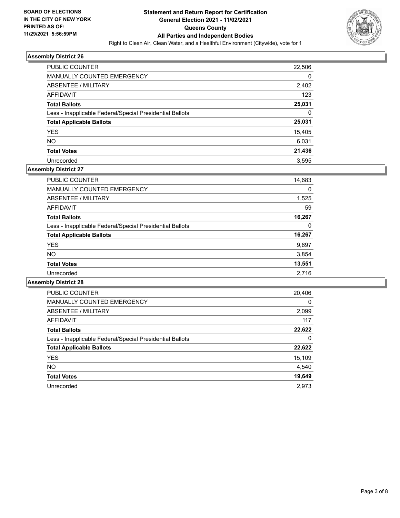

| <b>PUBLIC COUNTER</b>                                    | 22,506 |
|----------------------------------------------------------|--------|
| MANUALLY COUNTED EMERGENCY                               | 0      |
| ABSENTEE / MILITARY                                      | 2,402  |
| AFFIDAVIT                                                | 123    |
| <b>Total Ballots</b>                                     | 25,031 |
| Less - Inapplicable Federal/Special Presidential Ballots | 0      |
| <b>Total Applicable Ballots</b>                          | 25,031 |
| <b>YES</b>                                               | 15,405 |
| <b>NO</b>                                                | 6,031  |
| <b>Total Votes</b>                                       | 21,436 |
| Unrecorded                                               | 3.595  |

# **Assembly District 27**

| <b>PUBLIC COUNTER</b>                                    | 14,683 |
|----------------------------------------------------------|--------|
| <b>MANUALLY COUNTED EMERGENCY</b>                        | 0      |
| ABSENTEE / MILITARY                                      | 1,525  |
| AFFIDAVIT                                                | 59     |
| <b>Total Ballots</b>                                     | 16,267 |
| Less - Inapplicable Federal/Special Presidential Ballots | 0      |
| <b>Total Applicable Ballots</b>                          | 16,267 |
| <b>YES</b>                                               | 9,697  |
| <b>NO</b>                                                | 3,854  |
| <b>Total Votes</b>                                       | 13,551 |
| Unrecorded                                               | 2.716  |

| <b>PUBLIC COUNTER</b>                                    | 20,406   |
|----------------------------------------------------------|----------|
| <b>MANUALLY COUNTED EMERGENCY</b>                        | $\Omega$ |
| ABSENTEE / MILITARY                                      | 2,099    |
| <b>AFFIDAVIT</b>                                         | 117      |
| <b>Total Ballots</b>                                     | 22,622   |
| Less - Inapplicable Federal/Special Presidential Ballots | 0        |
| <b>Total Applicable Ballots</b>                          | 22,622   |
| <b>YES</b>                                               | 15,109   |
| NO.                                                      | 4,540    |
| <b>Total Votes</b>                                       | 19,649   |
| Unrecorded                                               | 2.973    |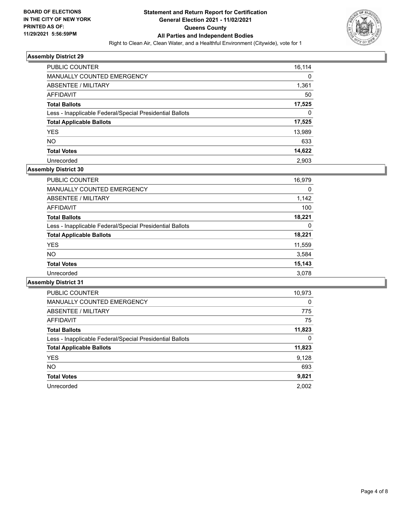

| <b>PUBLIC COUNTER</b>                                    | 16,114 |
|----------------------------------------------------------|--------|
| MANUALLY COUNTED EMERGENCY                               | 0      |
| ABSENTEE / MILITARY                                      | 1,361  |
| AFFIDAVIT                                                | 50     |
| <b>Total Ballots</b>                                     | 17,525 |
| Less - Inapplicable Federal/Special Presidential Ballots | 0      |
| <b>Total Applicable Ballots</b>                          | 17,525 |
| <b>YES</b>                                               | 13,989 |
| NO.                                                      | 633    |
| <b>Total Votes</b>                                       | 14,622 |
| Unrecorded                                               | 2.903  |

# **Assembly District 30**

| <b>PUBLIC COUNTER</b>                                    | 16,979 |
|----------------------------------------------------------|--------|
|                                                          |        |
| <b>MANUALLY COUNTED EMERGENCY</b>                        | 0      |
| ABSENTEE / MILITARY                                      | 1,142  |
| AFFIDAVIT                                                | 100    |
| <b>Total Ballots</b>                                     | 18,221 |
| Less - Inapplicable Federal/Special Presidential Ballots | 0      |
| <b>Total Applicable Ballots</b>                          | 18,221 |
| <b>YES</b>                                               | 11,559 |
| <b>NO</b>                                                | 3,584  |
| <b>Total Votes</b>                                       | 15,143 |
| Unrecorded                                               | 3,078  |

| <b>PUBLIC COUNTER</b>                                    | 10,973   |
|----------------------------------------------------------|----------|
| <b>MANUALLY COUNTED EMERGENCY</b>                        | $\Omega$ |
| ABSENTEE / MILITARY                                      | 775      |
| <b>AFFIDAVIT</b>                                         | 75       |
| <b>Total Ballots</b>                                     | 11,823   |
| Less - Inapplicable Federal/Special Presidential Ballots | 0        |
| <b>Total Applicable Ballots</b>                          | 11,823   |
| <b>YES</b>                                               | 9,128    |
| <b>NO</b>                                                | 693      |
| <b>Total Votes</b>                                       | 9,821    |
| Unrecorded                                               | 2.002    |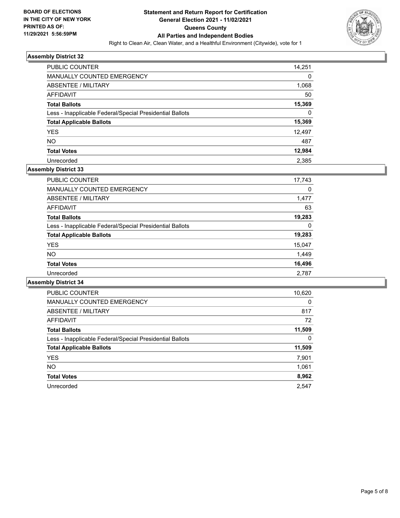

| PUBLIC COUNTER                                           | 14,251 |
|----------------------------------------------------------|--------|
| MANUALLY COUNTED EMERGENCY                               | 0      |
| ABSENTEE / MILITARY                                      | 1,068  |
| AFFIDAVIT                                                | 50     |
| <b>Total Ballots</b>                                     | 15,369 |
| Less - Inapplicable Federal/Special Presidential Ballots | 0      |
| <b>Total Applicable Ballots</b>                          | 15,369 |
| <b>YES</b>                                               | 12,497 |
| <b>NO</b>                                                | 487    |
| <b>Total Votes</b>                                       | 12,984 |
| Unrecorded                                               | 2.385  |

# **Assembly District 33**

| <b>PUBLIC COUNTER</b>                                    | 17,743 |
|----------------------------------------------------------|--------|
| <b>MANUALLY COUNTED EMERGENCY</b>                        | 0      |
| ABSENTEE / MILITARY                                      | 1,477  |
| AFFIDAVIT                                                | 63     |
| <b>Total Ballots</b>                                     | 19,283 |
| Less - Inapplicable Federal/Special Presidential Ballots | 0      |
| <b>Total Applicable Ballots</b>                          | 19,283 |
| <b>YES</b>                                               | 15,047 |
| NO.                                                      | 1,449  |
| <b>Total Votes</b>                                       | 16,496 |
| Unrecorded                                               | 2,787  |

| <b>PUBLIC COUNTER</b>                                    | 10,620   |
|----------------------------------------------------------|----------|
| <b>MANUALLY COUNTED EMERGENCY</b>                        | $\Omega$ |
| ABSENTEE / MILITARY                                      | 817      |
| AFFIDAVIT                                                | 72       |
| <b>Total Ballots</b>                                     | 11,509   |
| Less - Inapplicable Federal/Special Presidential Ballots | 0        |
| <b>Total Applicable Ballots</b>                          | 11,509   |
| <b>YES</b>                                               | 7,901    |
| NO.                                                      | 1,061    |
| <b>Total Votes</b>                                       | 8,962    |
| Unrecorded                                               | 2.547    |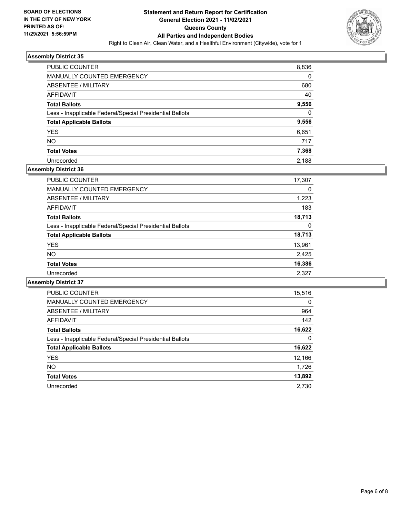

| <b>PUBLIC COUNTER</b>                                    | 8,836    |
|----------------------------------------------------------|----------|
| <b>MANUALLY COUNTED EMERGENCY</b>                        | 0        |
| ABSENTEE / MILITARY                                      | 680      |
| AFFIDAVIT                                                | 40       |
| <b>Total Ballots</b>                                     | 9,556    |
| Less - Inapplicable Federal/Special Presidential Ballots | $\Omega$ |
| <b>Total Applicable Ballots</b>                          | 9,556    |
| <b>YES</b>                                               | 6,651    |
| <b>NO</b>                                                | 717      |
| <b>Total Votes</b>                                       | 7,368    |
| Unrecorded                                               | 2.188    |

# **Assembly District 36**

| <b>PUBLIC COUNTER</b>                                    | 17,307 |
|----------------------------------------------------------|--------|
| <b>MANUALLY COUNTED EMERGENCY</b>                        | 0      |
| ABSENTEE / MILITARY                                      | 1,223  |
| AFFIDAVIT                                                | 183    |
| <b>Total Ballots</b>                                     | 18,713 |
| Less - Inapplicable Federal/Special Presidential Ballots | 0      |
| <b>Total Applicable Ballots</b>                          | 18,713 |
| <b>YES</b>                                               | 13,961 |
| <b>NO</b>                                                | 2,425  |
| <b>Total Votes</b>                                       | 16,386 |
| Unrecorded                                               | 2.327  |

| <b>PUBLIC COUNTER</b>                                    | 15,516   |
|----------------------------------------------------------|----------|
| <b>MANUALLY COUNTED EMERGENCY</b>                        | $\Omega$ |
| ABSENTEE / MILITARY                                      | 964      |
| <b>AFFIDAVIT</b>                                         | 142      |
| <b>Total Ballots</b>                                     | 16,622   |
| Less - Inapplicable Federal/Special Presidential Ballots | 0        |
| <b>Total Applicable Ballots</b>                          | 16,622   |
| <b>YES</b>                                               | 12,166   |
| NO.                                                      | 1,726    |
| <b>Total Votes</b>                                       | 13,892   |
| Unrecorded                                               | 2.730    |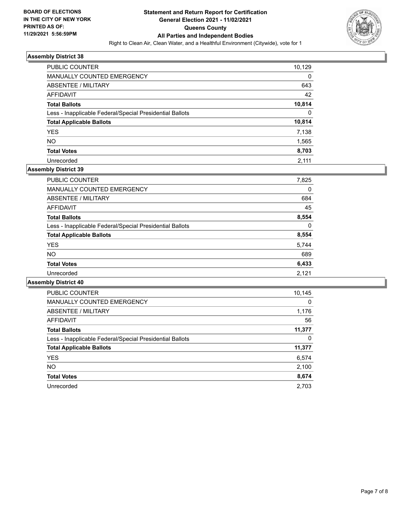

| PUBLIC COUNTER                                           | 10,129   |
|----------------------------------------------------------|----------|
| MANUALLY COUNTED EMERGENCY                               | $\Omega$ |
| ABSENTEE / MILITARY                                      | 643      |
| AFFIDAVIT                                                | 42       |
| <b>Total Ballots</b>                                     | 10,814   |
| Less - Inapplicable Federal/Special Presidential Ballots | $\Omega$ |
| <b>Total Applicable Ballots</b>                          | 10,814   |
| <b>YES</b>                                               | 7,138    |
| <b>NO</b>                                                | 1,565    |
| <b>Total Votes</b>                                       | 8,703    |
| Unrecorded                                               | 2.111    |

# **Assembly District 39**

| <b>PUBLIC COUNTER</b>                                    | 7,825 |
|----------------------------------------------------------|-------|
| <b>MANUALLY COUNTED EMERGENCY</b>                        | 0     |
| ABSENTEE / MILITARY                                      | 684   |
| AFFIDAVIT                                                | 45    |
| <b>Total Ballots</b>                                     | 8,554 |
| Less - Inapplicable Federal/Special Presidential Ballots | 0     |
| <b>Total Applicable Ballots</b>                          | 8,554 |
| <b>YES</b>                                               | 5,744 |
| NO.                                                      | 689   |
| <b>Total Votes</b>                                       | 6,433 |
| Unrecorded                                               | 2.121 |

| PUBLIC COUNTER                                           | 10,145   |
|----------------------------------------------------------|----------|
| <b>MANUALLY COUNTED EMERGENCY</b>                        | $\Omega$ |
| ABSENTEE / MILITARY                                      | 1,176    |
| <b>AFFIDAVIT</b>                                         | 56       |
| <b>Total Ballots</b>                                     | 11,377   |
| Less - Inapplicable Federal/Special Presidential Ballots | 0        |
| <b>Total Applicable Ballots</b>                          | 11,377   |
| <b>YES</b>                                               | 6,574    |
| <b>NO</b>                                                | 2,100    |
| <b>Total Votes</b>                                       | 8,674    |
| Unrecorded                                               | 2.703    |